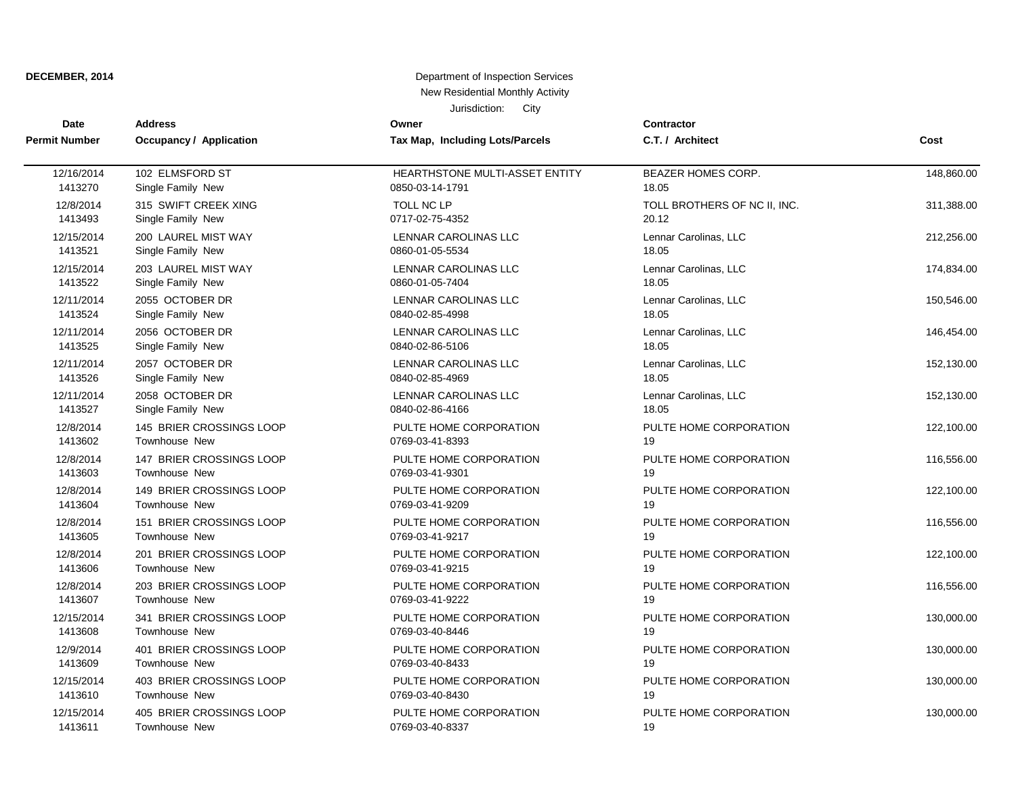| <b>Date</b>          | <b>Address</b>                 | Owner                                 | <b>Contractor</b>            |            |
|----------------------|--------------------------------|---------------------------------------|------------------------------|------------|
| <b>Permit Number</b> | <b>Occupancy / Application</b> | Tax Map, Including Lots/Parcels       | C.T. / Architect             | Cost       |
| 12/16/2014           | 102 ELMSFORD ST                | <b>HEARTHSTONE MULTI-ASSET ENTITY</b> | BEAZER HOMES CORP.           | 148,860.00 |
| 1413270              | Single Family New              | 0850-03-14-1791                       | 18.05                        |            |
| 12/8/2014            | 315 SWIFT CREEK XING           | <b>TOLL NC LP</b>                     | TOLL BROTHERS OF NC II, INC. | 311,388.00 |
| 1413493              | Single Family New              | 0717-02-75-4352                       | 20.12                        |            |
| 12/15/2014           | 200 LAUREL MIST WAY            | LENNAR CAROLINAS LLC                  | Lennar Carolinas, LLC        | 212,256.00 |
| 1413521              | Single Family New              | 0860-01-05-5534                       | 18.05                        |            |
| 12/15/2014           | 203 LAUREL MIST WAY            | LENNAR CAROLINAS LLC                  | Lennar Carolinas, LLC        | 174,834.00 |
| 1413522              | Single Family New              | 0860-01-05-7404                       | 18.05                        |            |
| 12/11/2014           | 2055 OCTOBER DR                | <b>LENNAR CAROLINAS LLC</b>           | Lennar Carolinas, LLC        | 150,546.00 |
| 1413524              | Single Family New              | 0840-02-85-4998                       | 18.05                        |            |
| 12/11/2014           | 2056 OCTOBER DR                | <b>LENNAR CAROLINAS LLC</b>           | Lennar Carolinas, LLC        | 146,454.00 |
| 1413525              | Single Family New              | 0840-02-86-5106                       | 18.05                        |            |
| 12/11/2014           | 2057 OCTOBER DR                | LENNAR CAROLINAS LLC                  | Lennar Carolinas, LLC        | 152,130.00 |
| 1413526              | Single Family New              | 0840-02-85-4969                       | 18.05                        |            |
| 12/11/2014           | 2058 OCTOBER DR                | LENNAR CAROLINAS LLC                  | Lennar Carolinas, LLC        | 152,130.00 |
| 1413527              | Single Family New              | 0840-02-86-4166                       | 18.05                        |            |
| 12/8/2014            | 145 BRIER CROSSINGS LOOP       | PULTE HOME CORPORATION                | PULTE HOME CORPORATION       | 122,100.00 |
| 1413602              | <b>Townhouse New</b>           | 0769-03-41-8393                       | 19                           |            |
| 12/8/2014            | 147 BRIER CROSSINGS LOOP       | PULTE HOME CORPORATION                | PULTE HOME CORPORATION       | 116,556.00 |
| 1413603              | <b>Townhouse New</b>           | 0769-03-41-9301                       | 19                           |            |
| 12/8/2014            | 149 BRIER CROSSINGS LOOP       | PULTE HOME CORPORATION                | PULTE HOME CORPORATION       | 122,100.00 |
| 1413604              | Townhouse New                  | 0769-03-41-9209                       | 19                           |            |
| 12/8/2014            | 151 BRIER CROSSINGS LOOP       | PULTE HOME CORPORATION                | PULTE HOME CORPORATION       | 116,556.00 |
| 1413605              | Townhouse New                  | 0769-03-41-9217                       | 19                           |            |
| 12/8/2014            | 201 BRIER CROSSINGS LOOP       | PULTE HOME CORPORATION                | PULTE HOME CORPORATION       | 122,100.00 |
| 1413606              | <b>Townhouse New</b>           | 0769-03-41-9215                       | 19                           |            |
| 12/8/2014            | 203 BRIER CROSSINGS LOOP       | PULTE HOME CORPORATION                | PULTE HOME CORPORATION       | 116,556.00 |
| 1413607              | Townhouse New                  | 0769-03-41-9222                       | 19                           |            |
| 12/15/2014           | 341 BRIER CROSSINGS LOOP       | PULTE HOME CORPORATION                | PULTE HOME CORPORATION       | 130,000.00 |
| 1413608              | Townhouse New                  | 0769-03-40-8446                       | 19                           |            |
| 12/9/2014            | 401 BRIER CROSSINGS LOOP       | PULTE HOME CORPORATION                | PULTE HOME CORPORATION       | 130,000.00 |
| 1413609              | Townhouse New                  | 0769-03-40-8433                       | 19                           |            |
| 12/15/2014           | 403 BRIER CROSSINGS LOOP       | PULTE HOME CORPORATION                | PULTE HOME CORPORATION       | 130,000.00 |
| 1413610              | Townhouse New                  | 0769-03-40-8430                       | 19                           |            |
| 12/15/2014           | 405 BRIER CROSSINGS LOOP       | PULTE HOME CORPORATION                | PULTE HOME CORPORATION       | 130,000.00 |
| 1413611              | Townhouse New                  | 0769-03-40-8337                       | 19                           |            |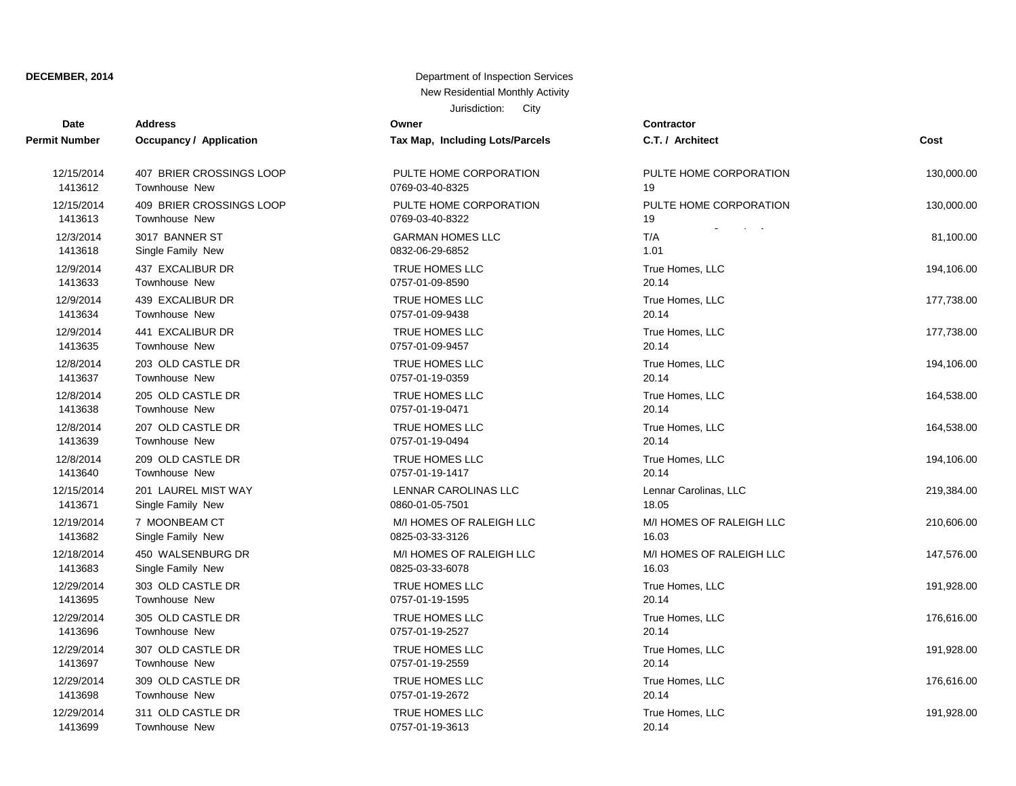| Date                 | <b>Address</b>                 | Owner                           | Contractor       |
|----------------------|--------------------------------|---------------------------------|------------------|
| <b>Permit Number</b> | <b>Occupancy / Application</b> | Tax Map, Including Lots/Parcels | C.T. / Arch      |
| 12/15/2014           | 407 BRIER CROSSINGS LOOP       | PULTE HOME CORPORATION          | PULTE HO         |
| 1413612              | Townhouse New                  | 0769-03-40-8325                 | 19               |
| 12/15/2014           | 409 BRIER CROSSINGS LOOP       | PULTE HOME CORPORATION          | PULTE HO         |
| 1413613              | Townhouse New                  | 0769-03-40-8322                 | 19               |
| 12/3/2014            | 3017 BANNER ST                 | <b>GARMAN HOMES LLC</b>         | T/A              |
| 1413618              | Single Family New              | 0832-06-29-6852                 | 1.01             |
| 12/9/2014            | 437 EXCALIBUR DR               | TRUE HOMES LLC                  | True Home        |
| 1413633              | Townhouse New                  | 0757-01-09-8590                 | 20.14            |
| 12/9/2014            | 439 EXCALIBUR DR               | TRUE HOMES LLC                  | True Home        |
| 1413634              | Townhouse New                  | 0757-01-09-9438                 | 20.14            |
| 12/9/2014            | 441 EXCALIBUR DR               | TRUE HOMES LLC                  | True Home        |
| 1413635              | <b>Townhouse New</b>           | 0757-01-09-9457                 | 20.14            |
| 12/8/2014            | 203 OLD CASTLE DR              | TRUE HOMES LLC                  | <b>True Home</b> |
| 1413637              | Townhouse New                  | 0757-01-19-0359                 | 20.14            |
| 12/8/2014            | 205 OLD CASTLE DR              | TRUE HOMES LLC                  | True Home        |
| 1413638              | <b>Townhouse New</b>           | 0757-01-19-0471                 | 20.14            |
| 12/8/2014            | 207 OLD CASTLE DR              | TRUE HOMES LLC                  | True Home        |
| 1413639              | <b>Townhouse New</b>           | 0757-01-19-0494                 | 20.14            |
| 12/8/2014            | 209 OLD CASTLE DR              | TRUE HOMES LLC                  | True Home        |
| 1413640              | <b>Townhouse New</b>           | 0757-01-19-1417                 | 20.14            |
| 12/15/2014           | 201 LAUREL MIST WAY            | LENNAR CAROLINAS LLC            | Lennar Car       |
| 1413671              | Single Family New              | 0860-01-05-7501                 | 18.05            |
| 12/19/2014           | 7 MOONBEAM CT                  | M/I HOMES OF RALEIGH LLC        | M/I HOMES        |
| 1413682              | Single Family New              | 0825-03-33-3126                 | 16.03            |
| 12/18/2014           | 450 WALSENBURG DR              | M/I HOMES OF RALEIGH LLC        | M/I HOMES        |
| 1413683              | Single Family New              | 0825-03-33-6078                 | 16.03            |
| 12/29/2014           | 303 OLD CASTLE DR              | TRUE HOMES LLC                  | <b>True Home</b> |
| 1413695              | Townhouse New                  | 0757-01-19-1595                 | 20.14            |
| 12/29/2014           | 305 OLD CASTLE DR              | TRUE HOMES LLC                  | <b>True Home</b> |
| 1413696              | Townhouse New                  | 0757-01-19-2527                 | 20.14            |
| 12/29/2014           | 307 OLD CASTLE DR              | TRUE HOMES LLC                  | True Home        |
| 1413697              | <b>Townhouse New</b>           | 0757-01-19-2559                 | 20.14            |
| 12/29/2014           | 309 OLD CASTLE DR              | TRUE HOMES LLC                  | True Home        |
| 1413698              | <b>Townhouse New</b>           | 0757-01-19-2672                 | 20.14            |
| 12/29/2014           | 311 OLD CASTLE DR              | TRUE HOMES LLC                  | True Home        |
| 1413699              | Townhouse New                  | 0757-01-19-3613                 | 20.14            |

| υαισ       |                          |                                 |                          |            |
|------------|--------------------------|---------------------------------|--------------------------|------------|
| it Number  | Occupancy / Application  | Tax Map, Including Lots/Parcels | C.T. / Architect         | Cost       |
| 12/15/2014 | 407 BRIER CROSSINGS LOOP | PULTE HOME CORPORATION          | PULTE HOME CORPORATION   | 130,000.00 |
| 1413612    | Townhouse New            | 0769-03-40-8325                 | 19                       |            |
| 12/15/2014 | 409 BRIER CROSSINGS LOOP | PULTE HOME CORPORATION          | PULTE HOME CORPORATION   | 130,000.00 |
| 1413613    | Townhouse New            | 0769-03-40-8322                 | 19                       |            |
| 12/3/2014  | 3017 BANNER ST           | <b>GARMAN HOMES LLC</b>         | T/A                      | 81,100.00  |
| 1413618    | Single Family New        | 0832-06-29-6852                 | 1.01                     |            |
| 12/9/2014  | 437 EXCALIBUR DR         | TRUE HOMES LLC                  | True Homes, LLC          | 194,106.00 |
| 1413633    | Townhouse New            | 0757-01-09-8590                 | 20.14                    |            |
| 12/9/2014  | 439 EXCALIBUR DR         | TRUE HOMES LLC                  | True Homes, LLC          | 177,738.00 |
| 1413634    | <b>Townhouse New</b>     | 0757-01-09-9438                 | 20.14                    |            |
| 12/9/2014  | 441 EXCALIBUR DR         | TRUE HOMES LLC                  | True Homes, LLC          | 177,738.00 |
| 1413635    | Townhouse New            | 0757-01-09-9457                 | 20.14                    |            |
| 12/8/2014  | 203 OLD CASTLE DR        | TRUE HOMES LLC                  | True Homes, LLC          | 194,106.00 |
| 1413637    | Townhouse New            | 0757-01-19-0359                 | 20.14                    |            |
| 12/8/2014  | 205 OLD CASTLE DR        | TRUE HOMES LLC                  | True Homes, LLC          | 164,538.00 |
| 1413638    | Townhouse New            | 0757-01-19-0471                 | 20.14                    |            |
| 12/8/2014  | 207 OLD CASTLE DR        | TRUE HOMES LLC                  | True Homes, LLC          | 164,538.00 |
| 1413639    | Townhouse New            | 0757-01-19-0494                 | 20.14                    |            |
| 12/8/2014  | 209 OLD CASTLE DR        | TRUE HOMES LLC                  | True Homes, LLC          | 194,106.00 |
| 1413640    | Townhouse New            | 0757-01-19-1417                 | 20.14                    |            |
| 12/15/2014 | 201 LAUREL MIST WAY      | LENNAR CAROLINAS LLC            | Lennar Carolinas, LLC    | 219,384.00 |
| 1413671    | Single Family New        | 0860-01-05-7501                 | 18.05                    |            |
| 12/19/2014 | 7 MOONBEAM CT            | M/I HOMES OF RALEIGH LLC        | M/I HOMES OF RALEIGH LLC | 210,606.00 |
| 1413682    | Single Family New        | 0825-03-33-3126                 | 16.03                    |            |
| 12/18/2014 | 450 WALSENBURG DR        | M/I HOMES OF RALEIGH LLC        | M/I HOMES OF RALEIGH LLC | 147,576.00 |
| 1413683    | Single Family New        | 0825-03-33-6078                 | 16.03                    |            |
| 12/29/2014 | 303 OLD CASTLE DR        | TRUE HOMES LLC                  | True Homes, LLC          | 191,928.00 |
| 1413695    | Townhouse New            | 0757-01-19-1595                 | 20.14                    |            |
| 12/29/2014 | 305 OLD CASTLE DR        | TRUE HOMES LLC                  | True Homes, LLC          | 176,616.00 |
| 1413696    | <b>Townhouse New</b>     | 0757-01-19-2527                 | 20.14                    |            |
| 12/29/2014 | 307 OLD CASTLE DR        | TRUE HOMES LLC                  | True Homes, LLC          | 191,928.00 |
| 1413697    | Townhouse New            | 0757-01-19-2559                 | 20.14                    |            |
| 12/29/2014 | 309 OLD CASTLE DR        | TRUE HOMES LLC                  | True Homes, LLC          | 176,616.00 |
| 1413698    | Townhouse New            | 0757-01-19-2672                 | 20.14                    |            |
| 12/29/2014 | 311 OLD CASTLE DR        | TRUE HOMES LLC                  | True Homes, LLC          | 191,928.00 |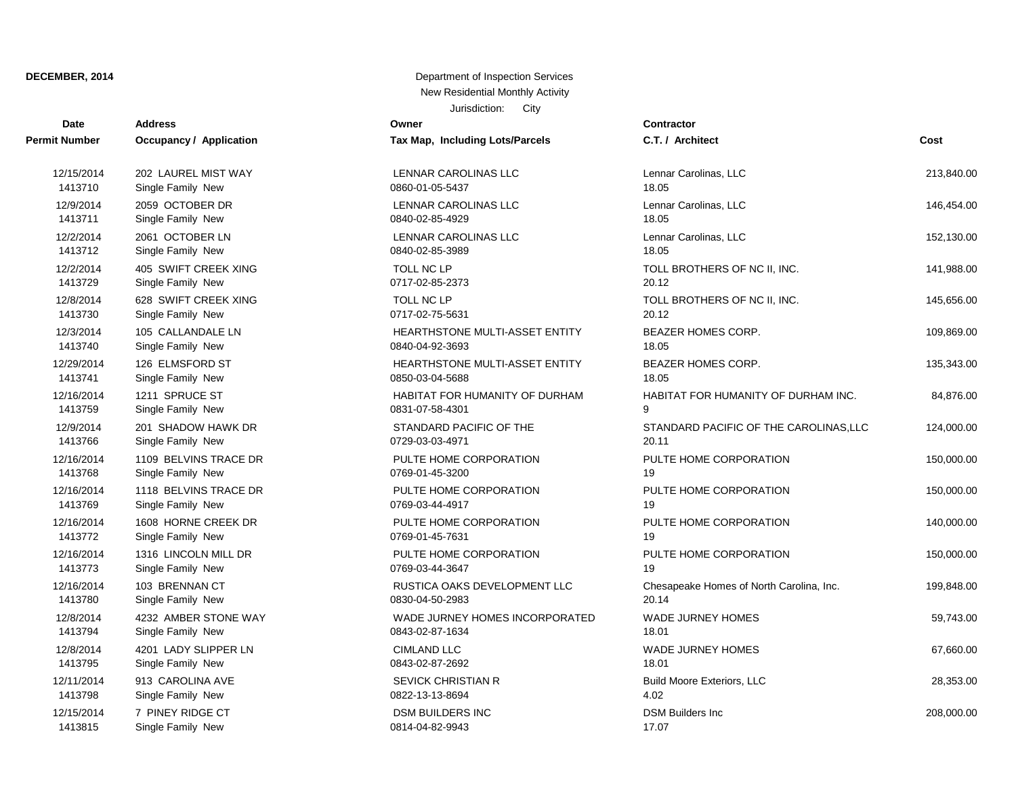| Date          | <b>Address</b>          | Owner                                 | Contractor                               |            |
|---------------|-------------------------|---------------------------------------|------------------------------------------|------------|
| Permit Number | Occupancy / Application | Tax Map, Including Lots/Parcels       | C.T. / Architect                         | Cost       |
| 12/15/2014    | 202 LAUREL MIST WAY     | LENNAR CAROLINAS LLC                  | Lennar Carolinas, LLC                    | 213,840.00 |
| 1413710       | Single Family New       | 0860-01-05-5437                       | 18.05                                    |            |
| 12/9/2014     | 2059 OCTOBER DR         | LENNAR CAROLINAS LLC                  | Lennar Carolinas, LLC                    | 146,454.00 |
| 1413711       | Single Family New       | 0840-02-85-4929                       | 18.05                                    |            |
| 12/2/2014     | 2061 OCTOBER LN         | LENNAR CAROLINAS LLC                  | Lennar Carolinas, LLC                    | 152,130.00 |
| 1413712       | Single Family New       | 0840-02-85-3989                       | 18.05                                    |            |
| 12/2/2014     | 405 SWIFT CREEK XING    | TOLL NC LP                            | TOLL BROTHERS OF NC II, INC.             | 141,988.00 |
| 1413729       | Single Family New       | 0717-02-85-2373                       | 20.12                                    |            |
| 12/8/2014     | 628 SWIFT CREEK XING    | TOLL NC LP                            | TOLL BROTHERS OF NC II, INC.             | 145,656.00 |
| 1413730       | Single Family New       | 0717-02-75-5631                       | 20.12                                    |            |
| 12/3/2014     | 105 CALLANDALE LN       | HEARTHSTONE MULTI-ASSET ENTITY        | BEAZER HOMES CORP.                       | 109,869.00 |
| 1413740       | Single Family New       | 0840-04-92-3693                       | 18.05                                    |            |
| 12/29/2014    | 126 ELMSFORD ST         | HEARTHSTONE MULTI-ASSET ENTITY        | BEAZER HOMES CORP.                       | 135,343.00 |
| 1413741       | Single Family New       | 0850-03-04-5688                       | 18.05                                    |            |
| 12/16/2014    | 1211 SPRUCE ST          | <b>HABITAT FOR HUMANITY OF DURHAM</b> | HABITAT FOR HUMANITY OF DURHAM INC.      | 84,876.00  |
| 1413759       | Single Family New       | 0831-07-58-4301                       | 9                                        |            |
| 12/9/2014     | 201 SHADOW HAWK DR      | STANDARD PACIFIC OF THE               | STANDARD PACIFIC OF THE CAROLINAS, LLC   | 124,000.00 |
| 1413766       | Single Family New       | 0729-03-03-4971                       | 20.11                                    |            |
| 12/16/2014    | 1109 BELVINS TRACE DR   | PULTE HOME CORPORATION                | PULTE HOME CORPORATION                   | 150,000.00 |
| 1413768       | Single Family New       | 0769-01-45-3200                       | 19                                       |            |
| 12/16/2014    | 1118 BELVINS TRACE DR   | PULTE HOME CORPORATION                | PULTE HOME CORPORATION                   | 150,000.00 |
| 1413769       | Single Family New       | 0769-03-44-4917                       | 19                                       |            |
| 12/16/2014    | 1608 HORNE CREEK DR     | PULTE HOME CORPORATION                | PULTE HOME CORPORATION                   | 140,000.00 |
| 1413772       | Single Family New       | 0769-01-45-7631                       | 19                                       |            |
| 12/16/2014    | 1316 LINCOLN MILL DR    | PULTE HOME CORPORATION                | PULTE HOME CORPORATION                   | 150,000.00 |
| 1413773       | Single Family New       | 0769-03-44-3647                       | 19                                       |            |
| 12/16/2014    | 103 BRENNAN CT          | RUSTICA OAKS DEVELOPMENT LLC          | Chesapeake Homes of North Carolina, Inc. | 199,848.00 |
| 1413780       | Single Family New       | 0830-04-50-2983                       | 20.14                                    |            |
| 12/8/2014     | 4232 AMBER STONE WAY    | WADE JURNEY HOMES INCORPORATED        | WADE JURNEY HOMES                        | 59,743.00  |
| 1413794       | Single Family New       | 0843-02-87-1634                       | 18.01                                    |            |
| 12/8/2014     | 4201 LADY SLIPPER LN    | <b>CIMLAND LLC</b>                    | WADE JURNEY HOMES                        | 67,660.00  |
| 1413795       | Single Family New       | 0843-02-87-2692                       | 18.01                                    |            |
| 12/11/2014    | 913 CAROLINA AVE        | <b>SEVICK CHRISTIAN R</b>             | <b>Build Moore Exteriors, LLC</b>        | 28,353.00  |
| 1413798       | Single Family New       | 0822-13-13-8694                       | 4.02                                     |            |
| 12/15/2014    | 7 PINEY RIDGE CT        | <b>DSM BUILDERS INC</b>               | <b>DSM Builders Inc.</b>                 | 208,000.00 |
| 1413815       | Single Family New       | 0814-04-82-9943                       | 17.07                                    |            |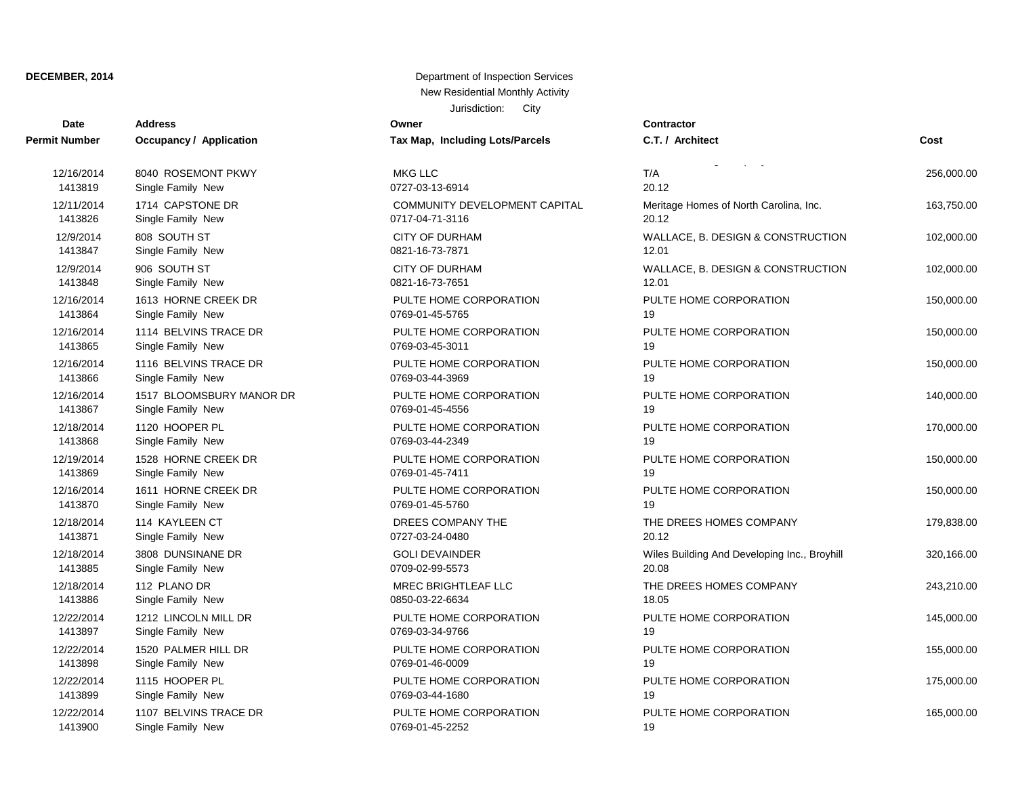| Date                 | <b>Address</b>           | Owner                                | Contractor            |
|----------------------|--------------------------|--------------------------------------|-----------------------|
| <b>Permit Number</b> | Occupancy / Application  | Tax Map, Including Lots/Parcels      | C.T. / Architect      |
| 12/16/2014           | 8040 ROSEMONT PKWY       | <b>MKG LLC</b>                       | T/A                   |
| 1413819              | Single Family New        | 0727-03-13-6914                      | 20.12                 |
| 12/11/2014           | 1714 CAPSTONE DR         | <b>COMMUNITY DEVELOPMENT CAPITAL</b> | <b>Meritage Homes</b> |
| 1413826              | Single Family New        | 0717-04-71-3116                      | 20.12                 |
| 12/9/2014            | 808 SOUTH ST             | <b>CITY OF DURHAM</b>                | WALLACE, B. D         |
| 1413847              | Single Family New        | 0821-16-73-7871                      | 12.01                 |
| 12/9/2014            | 906 SOUTH ST             | <b>CITY OF DURHAM</b>                | WALLACE, B. D         |
| 1413848              | Single Family New        | 0821-16-73-7651                      | 12.01                 |
| 12/16/2014           | 1613 HORNE CREEK DR      | PULTE HOME CORPORATION               | PULTE HOME C          |
| 1413864              | Single Family New        | 0769-01-45-5765                      | 19                    |
| 12/16/2014           | 1114 BELVINS TRACE DR    | PULTE HOME CORPORATION               | PULTE HOME C          |
| 1413865              | Single Family New        | 0769-03-45-3011                      | 19                    |
| 12/16/2014           | 1116 BELVINS TRACE DR    | PULTE HOME CORPORATION               | PULTE HOME C          |
| 1413866              | Single Family New        | 0769-03-44-3969                      | 19                    |
| 12/16/2014           | 1517 BLOOMSBURY MANOR DR | PULTE HOME CORPORATION               | PULTE HOME C          |
| 1413867              | Single Family New        | 0769-01-45-4556                      | 19                    |
| 12/18/2014           | 1120 HOOPER PL           | PULTE HOME CORPORATION               | PULTE HOME C          |
| 1413868              | Single Family New        | 0769-03-44-2349                      | 19                    |
| 12/19/2014           | 1528 HORNE CREEK DR      | PULTE HOME CORPORATION               | PULTE HOME C          |
| 1413869              | Single Family New        | 0769-01-45-7411                      | 19                    |
| 12/16/2014           | 1611 HORNE CREEK DR      | PULTE HOME CORPORATION               | PULTE HOME C          |
| 1413870              | Single Family New        | 0769-01-45-5760                      | 19                    |
| 12/18/2014           | 114 KAYLEEN CT           | DREES COMPANY THE                    | THE DREES HC          |
| 1413871              | Single Family New        | 0727-03-24-0480                      | 20.12                 |
| 12/18/2014           | 3808 DUNSINANE DR        | <b>GOLI DEVAINDER</b>                | Wiles Building A      |
| 1413885              | Single Family New        | 0709-02-99-5573                      | 20.08                 |
| 12/18/2014           | 112 PLANO DR             | MREC BRIGHTLEAF LLC                  | THE DREES HC          |
| 1413886              | Single Family New        | 0850-03-22-6634                      | 18.05                 |
| 12/22/2014           | 1212 LINCOLN MILL DR     | PULTE HOME CORPORATION               | PULTE HOME C          |
| 1413897              | Single Family New        | 0769-03-34-9766                      | 19                    |
| 12/22/2014           | 1520 PALMER HILL DR      | PULTE HOME CORPORATION               | PULTE HOME C          |
| 1413898              | Single Family New        | 0769-01-46-0009                      | 19                    |
| 12/22/2014           | 1115 HOOPER PL           | PULTE HOME CORPORATION               | PULTE HOME C          |
| 1413899              | Single Family New        | 0769-03-44-1680                      | 19                    |
| 12/22/2014           | 1107 BELVINS TRACE DR    | PULTE HOME CORPORATION               | PULTE HOME C          |

Jurisdiction: City

1413900 Single Family New 0769-01-45-2252 0769-03-44-1680 19 PULTE HOME CORPORATION PULTE HOME CORPORATION 165,000.00 0769-01-46-0009 19 0769-03-34-9766 19 1413886 Single Family New 0850-03-22-6634 18.05 1413885 Single Family New 0709-02-99-5573 20.08 1413871 Single Family New 0727-03-24-0480 20.12 0769-01-45-5760 19 0769-01-45-7411 19 0769-03-44-2349 19 0769-01-45-4556 19 0769-03-44-3969 19 0769-03-45-3011 19 0769-01-45-5765 19 0821-16-73-7651 12.01 1413847 Single Family New 0821-16-73-7871 12.01 0717-04-71-3116 20.12 0727-03-13-6914 20.12

**Cost** PULTE HOME CORPORATION PULTE HOME CORPORATION 175,000.00 PULTE HOME CORPORATION PULTE HOME CORPORATION 155,000.00 PULTE HOME CORPORATION PULTE HOME CORPORATION 145,000.00 12/13/2016 12/18/2014 12/2012 12/2014 12/2014 12/2014 12/2014 12/2014 12/2014 12/2014 12/2014 12/2014 12/2012 12/18/2014 3808 DUNSINANE DR GOLI DEVAINDER Wiles Building And Developing Inc., Broyhill 320,166.00 DREES COMPANY THE **THE THE DREES HOMES COMPANY** 179,838.00 PULTE HOME CORPORATION PULTE HOME CORPORATION 150,000.00 PULTE HOME CORPORATION PULTE HOME CORPORATION 150,000.00 PULTE HOME CORPORATION PULTE HOME CORPORATION 170,000.00 **DR** PULTE HOME CORPORATION PULTE HOME CORPORATION 140,000.00 PULTE HOME CORPORATION **PULTE HOME CORPORATION** 150,000,00 PULTE HOME CORPORATION PULTE HOME CORPORATION 150,000.00 PULTE HOME CORPORATION **PULTE HOME CORPORATION** 150,000,00 102,000.00 CITY OF DURHAM WALLACE, B. DESIGN & CONSTRUCTION 102,000.00 12/9/2014 CITY OF DURHAM STATE STATE STATE STATE WALLACE, B. DESIGN & CONSTRUCTION 102,000.00 12/11/2014 1714 CAPSTONE DR COMMUNITY DEVELOPMENT CAPITAL Meritage Homes of North Carolina, Inc. 163,750.00 Durham Building Company - Garman Homes, LLC, T/A 256,000.00